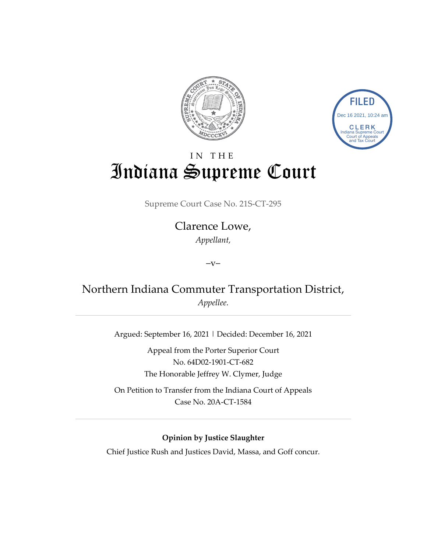



# IN THE Indiana Supreme Court

Supreme Court Case No. 21S-CT-295

# Clarence Lowe, *Appellant,*

 $-V-$ 

# Northern Indiana Commuter Transportation District, *Appellee.*

Argued: September 16, 2021 | Decided: December 16, 2021

Appeal from the Porter Superior Court No. 64D02-1901-CT-682 The Honorable Jeffrey W. Clymer, Judge

On Petition to Transfer from the Indiana Court of Appeals Case No. 20A-CT-1584

## **Opinion by Justice Slaughter**

Chief Justice Rush and Justices David, Massa, and Goff concur.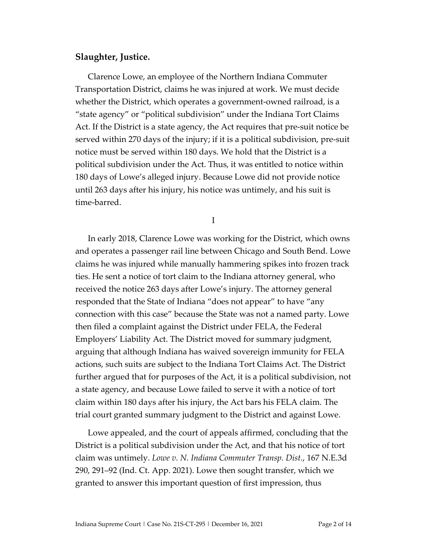### **Slaughter, Justice.**

Clarence Lowe, an employee of the Northern Indiana Commuter Transportation District, claims he was injured at work. We must decide whether the District, which operates a government-owned railroad, is a "state agency" or "political subdivision" under the Indiana Tort Claims Act. If the District is a state agency, the Act requires that pre-suit notice be served within 270 days of the injury; if it is a political subdivision, pre-suit notice must be served within 180 days. We hold that the District is a political subdivision under the Act. Thus, it was entitled to notice within 180 days of Lowe's alleged injury. Because Lowe did not provide notice until 263 days after his injury, his notice was untimely, and his suit is time-barred.

I

In early 2018, Clarence Lowe was working for the District, which owns and operates a passenger rail line between Chicago and South Bend. Lowe claims he was injured while manually hammering spikes into frozen track ties. He sent a notice of tort claim to the Indiana attorney general, who received the notice 263 days after Lowe's injury. The attorney general responded that the State of Indiana "does not appear" to have "any connection with this case" because the State was not a named party. Lowe then filed a complaint against the District under FELA, the Federal Employers' Liability Act. The District moved for summary judgment, arguing that although Indiana has waived sovereign immunity for FELA actions, such suits are subject to the Indiana Tort Claims Act. The District further argued that for purposes of the Act, it is a political subdivision, not a state agency, and because Lowe failed to serve it with a notice of tort claim within 180 days after his injury, the Act bars his FELA claim. The trial court granted summary judgment to the District and against Lowe.

Lowe appealed, and the court of appeals affirmed, concluding that the District is a political subdivision under the Act, and that his notice of tort claim was untimely. *Lowe v. N. Indiana Commuter Transp. Dist.*, 167 N.E.3d 290, 291–92 (Ind. Ct. App. 2021). Lowe then sought transfer, which we granted to answer this important question of first impression, thus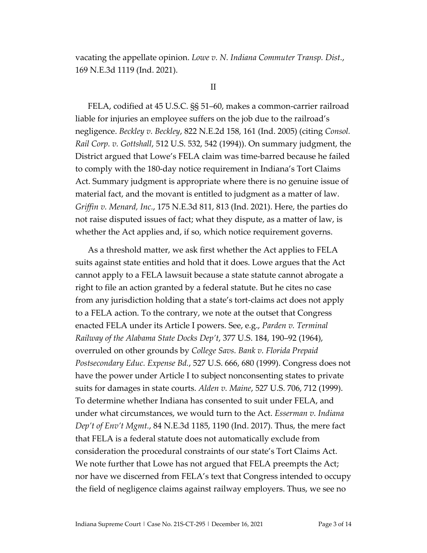vacating the appellate opinion. *Lowe v. N. Indiana Commuter Transp. Dist.*, 169 N.E.3d 1119 (Ind. 2021).

#### II

FELA, codified at 45 U.S.C. §§ 51–60, makes a common-carrier railroad liable for injuries an employee suffers on the job due to the railroad's negligence. *Beckley v. Beckley*, 822 N.E.2d 158, 161 (Ind. 2005) (citing *Consol. Rail Corp. v. Gottshall*, 512 U.S. 532, 542 (1994)). On summary judgment, the District argued that Lowe's FELA claim was time-barred because he failed to comply with the 180-day notice requirement in Indiana's Tort Claims Act. Summary judgment is appropriate where there is no genuine issue of material fact, and the movant is entitled to judgment as a matter of law. *Griffin v. Menard, Inc.*, 175 N.E.3d 811, 813 (Ind. 2021). Here, the parties do not raise disputed issues of fact; what they dispute, as a matter of law, is whether the Act applies and, if so, which notice requirement governs.

As a threshold matter, we ask first whether the Act applies to FELA suits against state entities and hold that it does. Lowe argues that the Act cannot apply to a FELA lawsuit because a state statute cannot abrogate a right to file an action granted by a federal statute. But he cites no case from any jurisdiction holding that a state's tort-claims act does not apply to a FELA action. To the contrary, we note at the outset that Congress enacted FELA under its Article I powers. See, e.g., *Parden v. Terminal Railway of the Alabama State Docks Dep't*, 377 U.S. 184, 190–92 (1964), overruled on other grounds by *College Savs. Bank v. Florida Prepaid Postsecondary Educ. Expense Bd.*, 527 U.S. 666, 680 (1999). Congress does not have the power under Article I to subject nonconsenting states to private suits for damages in state courts. *Alden v. Maine*, 527 U.S. 706, 712 (1999). To determine whether Indiana has consented to suit under FELA, and under what circumstances, we would turn to the Act. *Esserman v. Indiana Dep't of Env't Mgmt.*, 84 N.E.3d 1185, 1190 (Ind. 2017). Thus, the mere fact that FELA is a federal statute does not automatically exclude from consideration the procedural constraints of our state's Tort Claims Act. We note further that Lowe has not argued that FELA preempts the Act; nor have we discerned from FELA's text that Congress intended to occupy the field of negligence claims against railway employers. Thus, we see no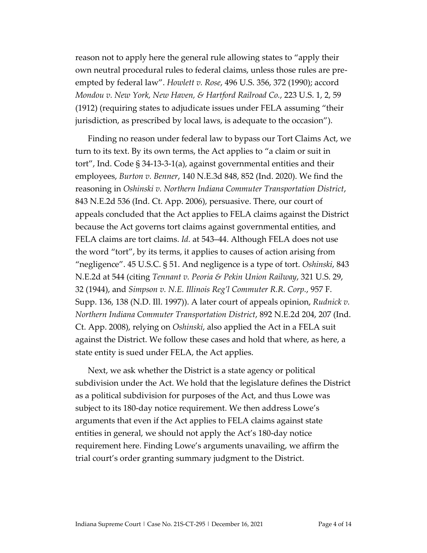reason not to apply here the general rule allowing states to "apply their own neutral procedural rules to federal claims, unless those rules are preempted by federal law". *Howlett v. Rose*, 496 U.S. 356, 372 (1990); accord *Mondou v. New York, New Haven, & Hartford Railroad Co.*, 223 U.S. 1, 2, 59 (1912) (requiring states to adjudicate issues under FELA assuming "their jurisdiction, as prescribed by local laws, is adequate to the occasion").

Finding no reason under federal law to bypass our Tort Claims Act, we turn to its text. By its own terms, the Act applies to "a claim or suit in tort", Ind. Code § 34-13-3-1(a), against governmental entities and their employees, *Burton v. Benner*, 140 N.E.3d 848, 852 (Ind. 2020). We find the reasoning in *Oshinski v. Northern Indiana Commuter Transportation District*, 843 N.E.2d 536 (Ind. Ct. App. 2006), persuasive. There, our court of appeals concluded that the Act applies to FELA claims against the District because the Act governs tort claims against governmental entities, and FELA claims are tort claims. *Id.* at 543–44. Although FELA does not use the word "tort", by its terms, it applies to causes of action arising from "negligence". 45 U.S.C. § 51. And negligence is a type of tort. *Oshinski*, 843 N.E.2d at 544 (citing *Tennant v. Peoria & Pekin Union Railway*, 321 U.S. 29, 32 (1944), and *Simpson v. N.E. Illinois Reg'l Commuter R.R. Corp.*, 957 F. Supp. 136, 138 (N.D. Ill. 1997)). A later court of appeals opinion, *Rudnick v. Northern Indiana Commuter Transportation District*, 892 N.E.2d 204, 207 (Ind. Ct. App. 2008), relying on *Oshinski*, also applied the Act in a FELA suit against the District. We follow these cases and hold that where, as here, a state entity is sued under FELA, the Act applies.

Next, we ask whether the District is a state agency or political subdivision under the Act. We hold that the legislature defines the District as a political subdivision for purposes of the Act, and thus Lowe was subject to its 180-day notice requirement. We then address Lowe's arguments that even if the Act applies to FELA claims against state entities in general, we should not apply the Act's 180-day notice requirement here. Finding Lowe's arguments unavailing, we affirm the trial court's order granting summary judgment to the District.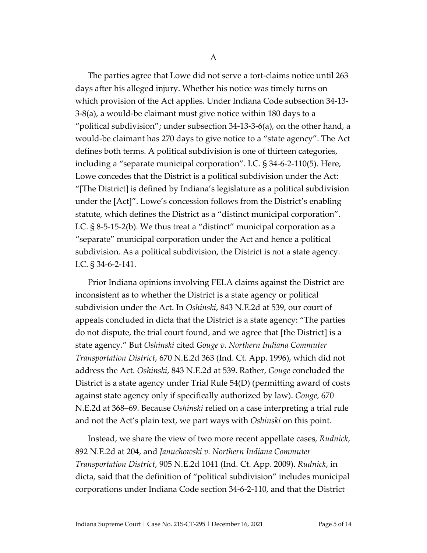The parties agree that Lowe did not serve a tort-claims notice until 263 days after his alleged injury. Whether his notice was timely turns on which provision of the Act applies. Under Indiana Code subsection 34-13- 3-8(a), a would-be claimant must give notice within 180 days to a "political subdivision"; under subsection 34-13-3-6(a), on the other hand, a would-be claimant has 270 days to give notice to a "state agency". The Act defines both terms. A political subdivision is one of thirteen categories, including a "separate municipal corporation". I.C. § 34-6-2-110(5). Here, Lowe concedes that the District is a political subdivision under the Act: "[The District] is defined by Indiana's legislature as a political subdivision under the [Act]". Lowe's concession follows from the District's enabling statute, which defines the District as a "distinct municipal corporation". I.C. § 8-5-15-2(b). We thus treat a "distinct" municipal corporation as a "separate" municipal corporation under the Act and hence a political subdivision. As a political subdivision, the District is not a state agency. I.C. § 34-6-2-141.

Prior Indiana opinions involving FELA claims against the District are inconsistent as to whether the District is a state agency or political subdivision under the Act. In *Oshinski*, 843 N.E.2d at 539, our court of appeals concluded in dicta that the District is a state agency: "The parties do not dispute, the trial court found, and we agree that [the District] is a state agency." But *Oshinski* cited *Gouge v. Northern Indiana Commuter Transportation District*, 670 N.E.2d 363 (Ind. Ct. App. 1996), which did not address the Act. *Oshinski*, 843 N.E.2d at 539. Rather, *Gouge* concluded the District is a state agency under Trial Rule 54(D) (permitting award of costs against state agency only if specifically authorized by law). *Gouge*, 670 N.E.2d at 368–69. Because *Oshinski* relied on a case interpreting a trial rule and not the Act's plain text, we part ways with *Oshinski* on this point.

Instead, we share the view of two more recent appellate cases, *Rudnick*, 892 N.E.2d at 204, and *Januchowski v. Northern Indiana Commuter Transportation District*, 905 N.E.2d 1041 (Ind. Ct. App. 2009). *Rudnick*, in dicta, said that the definition of "political subdivision" includes municipal corporations under Indiana Code section 34-6-2-110, and that the District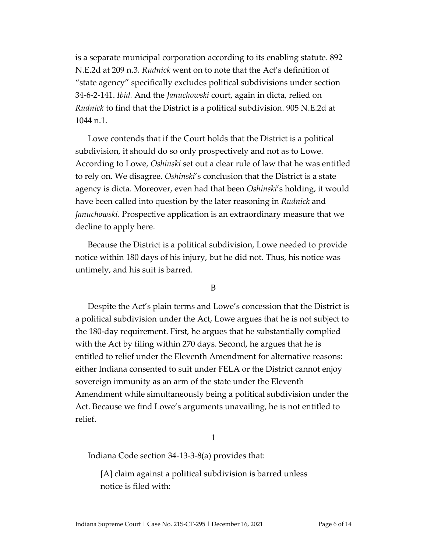is a separate municipal corporation according to its enabling statute. 892 N.E.2d at 209 n.3. *Rudnick* went on to note that the Act's definition of "state agency" specifically excludes political subdivisions under section 34-6-2-141. *Ibid.* And the *Januchowski* court, again in dicta, relied on *Rudnick* to find that the District is a political subdivision. 905 N.E.2d at 1044 n.1.

Lowe contends that if the Court holds that the District is a political subdivision, it should do so only prospectively and not as to Lowe. According to Lowe, *Oshinski* set out a clear rule of law that he was entitled to rely on. We disagree. *Oshinski*'s conclusion that the District is a state agency is dicta. Moreover, even had that been *Oshinski*'s holding, it would have been called into question by the later reasoning in *Rudnick* and *Januchowski*. Prospective application is an extraordinary measure that we decline to apply here.

Because the District is a political subdivision, Lowe needed to provide notice within 180 days of his injury, but he did not. Thus, his notice was untimely, and his suit is barred.

B

Despite the Act's plain terms and Lowe's concession that the District is a political subdivision under the Act, Lowe argues that he is not subject to the 180-day requirement. First, he argues that he substantially complied with the Act by filing within 270 days. Second, he argues that he is entitled to relief under the Eleventh Amendment for alternative reasons: either Indiana consented to suit under FELA or the District cannot enjoy sovereign immunity as an arm of the state under the Eleventh Amendment while simultaneously being a political subdivision under the Act. Because we find Lowe's arguments unavailing, he is not entitled to relief.

### 1

Indiana Code section 34-13-3-8(a) provides that:

[A] claim against a political subdivision is barred unless notice is filed with: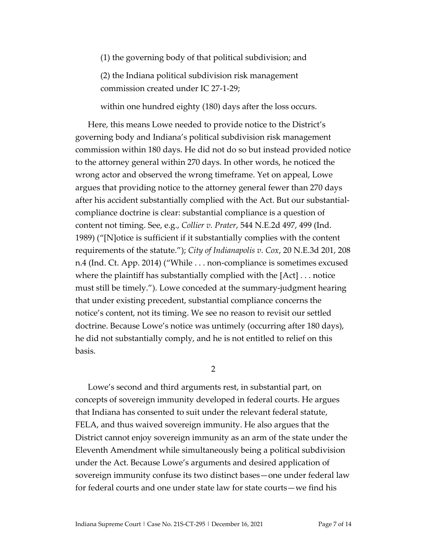(1) the governing body of that political subdivision; and

(2) the Indiana political subdivision risk management commission created under IC 27-1-29;

within one hundred eighty (180) days after the loss occurs.

Here, this means Lowe needed to provide notice to the District's governing body and Indiana's political subdivision risk management commission within 180 days. He did not do so but instead provided notice to the attorney general within 270 days. In other words, he noticed the wrong actor and observed the wrong timeframe. Yet on appeal, Lowe argues that providing notice to the attorney general fewer than 270 days after his accident substantially complied with the Act. But our substantialcompliance doctrine is clear: substantial compliance is a question of content not timing. See, e.g., *Collier v. Prater*, 544 N.E.2d 497, 499 (Ind. 1989) ("[N]otice is sufficient if it substantially complies with the content requirements of the statute."); *City of Indianapolis v. Cox*, 20 N.E.3d 201, 208 n.4 (Ind. Ct. App. 2014) ("While . . . non-compliance is sometimes excused where the plaintiff has substantially complied with the [Act] . . . notice must still be timely."). Lowe conceded at the summary-judgment hearing that under existing precedent, substantial compliance concerns the notice's content, not its timing. We see no reason to revisit our settled doctrine. Because Lowe's notice was untimely (occurring after 180 days), he did not substantially comply, and he is not entitled to relief on this basis.

2

Lowe's second and third arguments rest, in substantial part, on concepts of sovereign immunity developed in federal courts. He argues that Indiana has consented to suit under the relevant federal statute, FELA, and thus waived sovereign immunity. He also argues that the District cannot enjoy sovereign immunity as an arm of the state under the Eleventh Amendment while simultaneously being a political subdivision under the Act. Because Lowe's arguments and desired application of sovereign immunity confuse its two distinct bases—one under federal law for federal courts and one under state law for state courts—we find his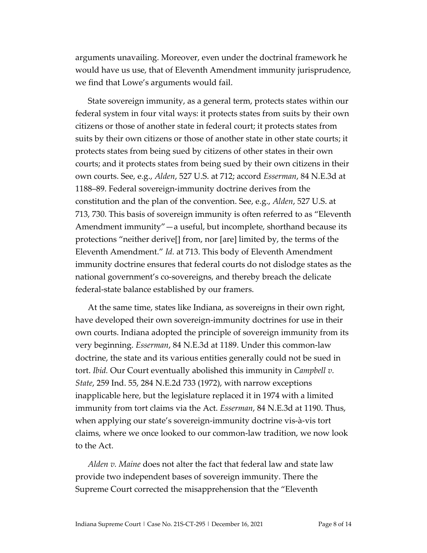arguments unavailing. Moreover, even under the doctrinal framework he would have us use, that of Eleventh Amendment immunity jurisprudence, we find that Lowe's arguments would fail.

State sovereign immunity, as a general term, protects states within our federal system in four vital ways: it protects states from suits by their own citizens or those of another state in federal court; it protects states from suits by their own citizens or those of another state in other state courts; it protects states from being sued by citizens of other states in their own courts; and it protects states from being sued by their own citizens in their own courts. See, e.g., *Alden*, 527 U.S. at 712; accord *Esserman*, 84 N.E.3d at 1188–89. Federal sovereign-immunity doctrine derives from the constitution and the plan of the convention. See, e.g., *Alden*, 527 U.S. at 713, 730. This basis of sovereign immunity is often referred to as "Eleventh Amendment immunity"—a useful, but incomplete, shorthand because its protections "neither derive[] from, nor [are] limited by, the terms of the Eleventh Amendment." *Id.* at 713. This body of Eleventh Amendment immunity doctrine ensures that federal courts do not dislodge states as the national government's co-sovereigns, and thereby breach the delicate federal-state balance established by our framers.

At the same time, states like Indiana, as sovereigns in their own right, have developed their own sovereign-immunity doctrines for use in their own courts. Indiana adopted the principle of sovereign immunity from its very beginning. *Esserman*, 84 N.E.3d at 1189. Under this common-law doctrine, the state and its various entities generally could not be sued in tort. *Ibid.* Our Court eventually abolished this immunity in *Campbell v. State*, 259 Ind. 55, 284 N.E.2d 733 (1972), with narrow exceptions inapplicable here, but the legislature replaced it in 1974 with a limited immunity from tort claims via the Act. *Esserman*, 84 N.E.3d at 1190. Thus, when applying our state's sovereign-immunity doctrine vis-à-vis tort claims, where we once looked to our common-law tradition, we now look to the Act.

*Alden v. Maine* does not alter the fact that federal law and state law provide two independent bases of sovereign immunity. There the Supreme Court corrected the misapprehension that the "Eleventh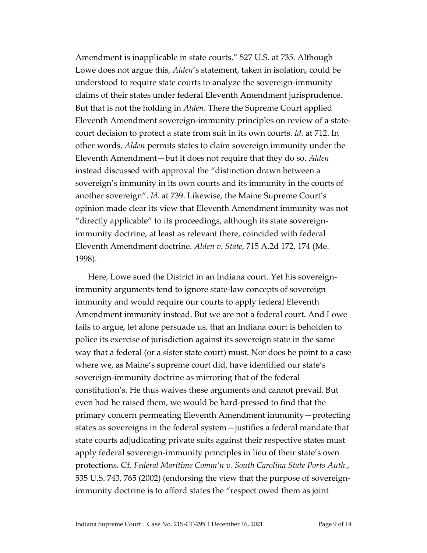Amendment is inapplicable in state courts." 527 U.S. at 735. Although Lowe does not argue this, *Alden*'s statement, taken in isolation, could be understood to require state courts to analyze the sovereign-immunity claims of their states under federal Eleventh Amendment jurisprudence. But that is not the holding in *Alden*. There the Supreme Court applied Eleventh Amendment sovereign-immunity principles on review of a statecourt decision to protect a state from suit in its own courts. *Id.* at 712. In other words, *Alden* permits states to claim sovereign immunity under the Eleventh Amendment—but it does not require that they do so. *Alden* instead discussed with approval the "distinction drawn between a sovereign's immunity in its own courts and its immunity in the courts of another sovereign". *Id.* at 739. Likewise, the Maine Supreme Court's opinion made clear its view that Eleventh Amendment immunity was not "directly applicable" to its proceedings, although its state sovereignimmunity doctrine, at least as relevant there, coincided with federal Eleventh Amendment doctrine. *Alden v. State*, 715 A.2d 172, 174 (Me. 1998).

Here, Lowe sued the District in an Indiana court. Yet his sovereignimmunity arguments tend to ignore state-law concepts of sovereign immunity and would require our courts to apply federal Eleventh Amendment immunity instead. But we are not a federal court. And Lowe fails to argue, let alone persuade us, that an Indiana court is beholden to police its exercise of jurisdiction against its sovereign state in the same way that a federal (or a sister state court) must. Nor does he point to a case where we, as Maine's supreme court did, have identified our state's sovereign-immunity doctrine as mirroring that of the federal constitution's. He thus waives these arguments and cannot prevail. But even had he raised them, we would be hard-pressed to find that the primary concern permeating Eleventh Amendment immunity—protecting states as sovereigns in the federal system—justifies a federal mandate that state courts adjudicating private suits against their respective states must apply federal sovereign-immunity principles in lieu of their state's own protections. Cf. *Federal Maritime Comm'n v. South Carolina State Ports Auth.*, 535 U.S. 743, 765 (2002) (endorsing the view that the purpose of sovereignimmunity doctrine is to afford states the "respect owed them as joint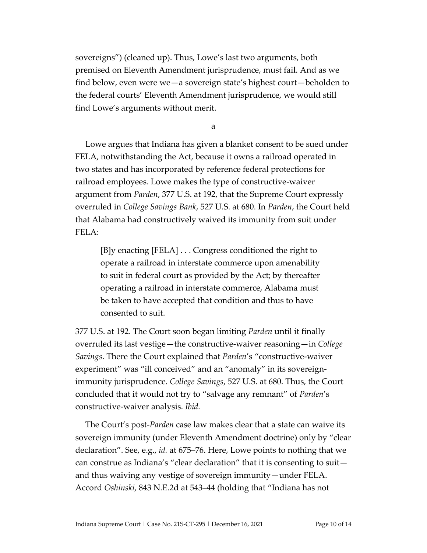sovereigns") (cleaned up). Thus, Lowe's last two arguments, both premised on Eleventh Amendment jurisprudence, must fail. And as we find below, even were we—a sovereign state's highest court—beholden to the federal courts' Eleventh Amendment jurisprudence, we would still find Lowe's arguments without merit.

a

Lowe argues that Indiana has given a blanket consent to be sued under FELA, notwithstanding the Act, because it owns a railroad operated in two states and has incorporated by reference federal protections for railroad employees. Lowe makes the type of constructive-waiver argument from *Parden*, 377 U.S. at 192, that the Supreme Court expressly overruled in *College Savings Bank*, 527 U.S. at 680. In *Parden*, the Court held that Alabama had constructively waived its immunity from suit under FELA:

[B]y enacting [FELA] . . . Congress conditioned the right to operate a railroad in interstate commerce upon amenability to suit in federal court as provided by the Act; by thereafter operating a railroad in interstate commerce, Alabama must be taken to have accepted that condition and thus to have consented to suit.

377 U.S. at 192. The Court soon began limiting *Parden* until it finally overruled its last vestige—the constructive-waiver reasoning—in *College Savings*. There the Court explained that *Parden*'s "constructive-waiver experiment" was "ill conceived" and an "anomaly" in its sovereignimmunity jurisprudence. *College Savings*, 527 U.S. at 680. Thus, the Court concluded that it would not try to "salvage any remnant" of *Parden*'s constructive-waiver analysis. *Ibid.*

The Court's post-*Parden* case law makes clear that a state can waive its sovereign immunity (under Eleventh Amendment doctrine) only by "clear declaration". See, e.g., *id.* at 675–76. Here, Lowe points to nothing that we can construe as Indiana's "clear declaration" that it is consenting to suit and thus waiving any vestige of sovereign immunity—under FELA. Accord *Oshinski*, 843 N.E.2d at 543–44 (holding that "Indiana has not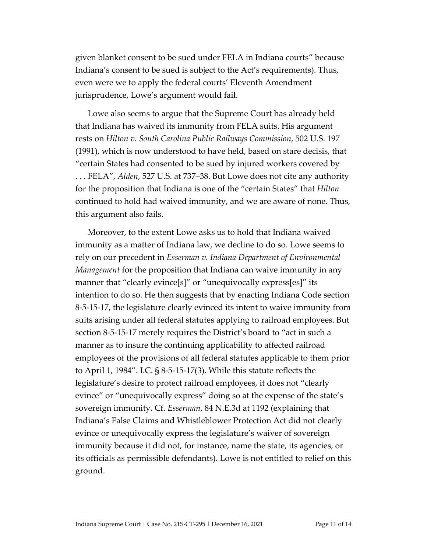given blanket consent to be sued under FELA in Indiana courts" because Indiana's consent to be sued is subject to the Act's requirements). Thus, even were we to apply the federal courts' Eleventh Amendment jurisprudence, Lowe's argument would fail.

Lowe also seems to argue that the Supreme Court has already held that Indiana has waived its immunity from FELA suits. His argument rests on *Hilton v. South Carolina Public Railways Commission*, 502 U.S. 197 (1991), which is now understood to have held, based on stare decisis, that "certain States had consented to be sued by injured workers covered by . . . FELA", *Alden*, 527 U.S. at 737–38. But Lowe does not cite any authority for the proposition that Indiana is one of the "certain States" that *Hilton* continued to hold had waived immunity, and we are aware of none. Thus, this argument also fails.

Moreover, to the extent Lowe asks us to hold that Indiana waived immunity as a matter of Indiana law, we decline to do so. Lowe seems to rely on our precedent in *Esserman v. Indiana Department of Environmental Management* for the proposition that Indiana can waive immunity in any manner that "clearly evince[s]" or "unequivocally express[es]" its intention to do so. He then suggests that by enacting Indiana Code section 8-5-15-17, the legislature clearly evinced its intent to waive immunity from suits arising under all federal statutes applying to railroad employees. But section 8-5-15-17 merely requires the District's board to "act in such a manner as to insure the continuing applicability to affected railroad employees of the provisions of all federal statutes applicable to them prior to April 1, 1984". I.C. § 8-5-15-17(3). While this statute reflects the legislature's desire to protect railroad employees, it does not "clearly evince" or "unequivocally express" doing so at the expense of the state's sovereign immunity. Cf. *Esserman*, 84 N.E.3d at 1192 (explaining that Indiana's False Claims and Whistleblower Protection Act did not clearly evince or unequivocally express the legislature's waiver of sovereign immunity because it did not, for instance, name the state, its agencies, or its officials as permissible defendants). Lowe is not entitled to relief on this ground.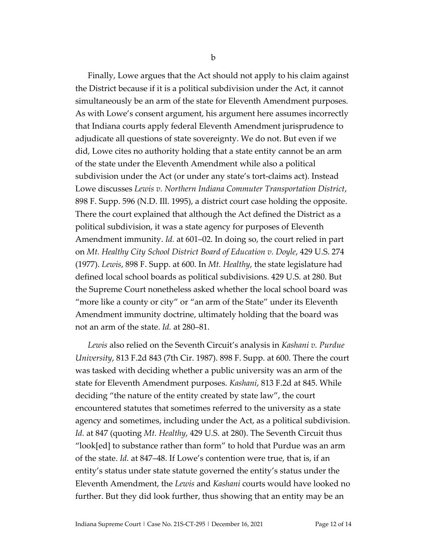Finally, Lowe argues that the Act should not apply to his claim against the District because if it is a political subdivision under the Act, it cannot simultaneously be an arm of the state for Eleventh Amendment purposes. As with Lowe's consent argument, his argument here assumes incorrectly that Indiana courts apply federal Eleventh Amendment jurisprudence to adjudicate all questions of state sovereignty. We do not. But even if we did, Lowe cites no authority holding that a state entity cannot be an arm of the state under the Eleventh Amendment while also a political subdivision under the Act (or under any state's tort-claims act). Instead Lowe discusses *Lewis v. Northern Indiana Commuter Transportation District*, 898 F. Supp. 596 (N.D. Ill. 1995), a district court case holding the opposite. There the court explained that although the Act defined the District as a political subdivision, it was a state agency for purposes of Eleventh Amendment immunity. *Id.* at 601–02. In doing so, the court relied in part on *Mt. Healthy City School District Board of Education v. Doyle*, 429 U.S. 274 (1977). *Lewis*, 898 F. Supp. at 600. In *Mt. Healthy*, the state legislature had defined local school boards as political subdivisions. 429 U.S. at 280. But the Supreme Court nonetheless asked whether the local school board was "more like a county or city" or "an arm of the State" under its Eleventh Amendment immunity doctrine, ultimately holding that the board was not an arm of the state. *Id.* at 280–81.

*Lewis* also relied on the Seventh Circuit's analysis in *Kashani v. Purdue University*, 813 F.2d 843 (7th Cir. 1987). 898 F. Supp. at 600. There the court was tasked with deciding whether a public university was an arm of the state for Eleventh Amendment purposes. *Kashani*, 813 F.2d at 845. While deciding "the nature of the entity created by state law", the court encountered statutes that sometimes referred to the university as a state agency and sometimes, including under the Act, as a political subdivision. *Id.* at 847 (quoting *Mt. Healthy*, 429 U.S. at 280). The Seventh Circuit thus "look[ed] to substance rather than form" to hold that Purdue was an arm of the state. *Id.* at 847–48. If Lowe's contention were true, that is, if an entity's status under state statute governed the entity's status under the Eleventh Amendment, the *Lewis* and *Kashani* courts would have looked no further. But they did look further, thus showing that an entity may be an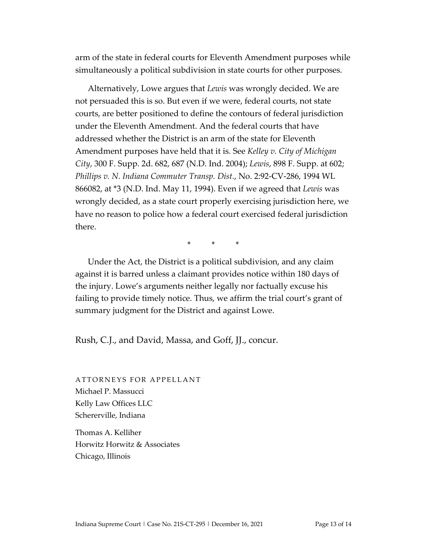arm of the state in federal courts for Eleventh Amendment purposes while simultaneously a political subdivision in state courts for other purposes.

Alternatively, Lowe argues that *Lewis* was wrongly decided. We are not persuaded this is so. But even if we were, federal courts, not state courts, are better positioned to define the contours of federal jurisdiction under the Eleventh Amendment. And the federal courts that have addressed whether the District is an arm of the state for Eleventh Amendment purposes have held that it is. See *Kelley v. City of Michigan City*, 300 F. Supp. 2d. 682, 687 (N.D. Ind. 2004); *Lewis*, 898 F. Supp. at 602; *Phillips v. N. Indiana Commuter Transp. Dist.*, No. 2:92-CV-286, 1994 WL 866082, at \*3 (N.D. Ind. May 11, 1994). Even if we agreed that *Lewis* was wrongly decided, as a state court properly exercising jurisdiction here, we have no reason to police how a federal court exercised federal jurisdiction there.

\* \* \*

Under the Act, the District is a political subdivision, and any claim against it is barred unless a claimant provides notice within 180 days of the injury. Lowe's arguments neither legally nor factually excuse his failing to provide timely notice. Thus, we affirm the trial court's grant of summary judgment for the District and against Lowe.

Rush, C.J., and David, Massa, and Goff, JJ., concur.

ATTORNEYS FOR APPELLANT Michael P. Massucci Kelly Law Offices LLC Schererville, Indiana

Thomas A. Kelliher Horwitz Horwitz & Associates Chicago, Illinois